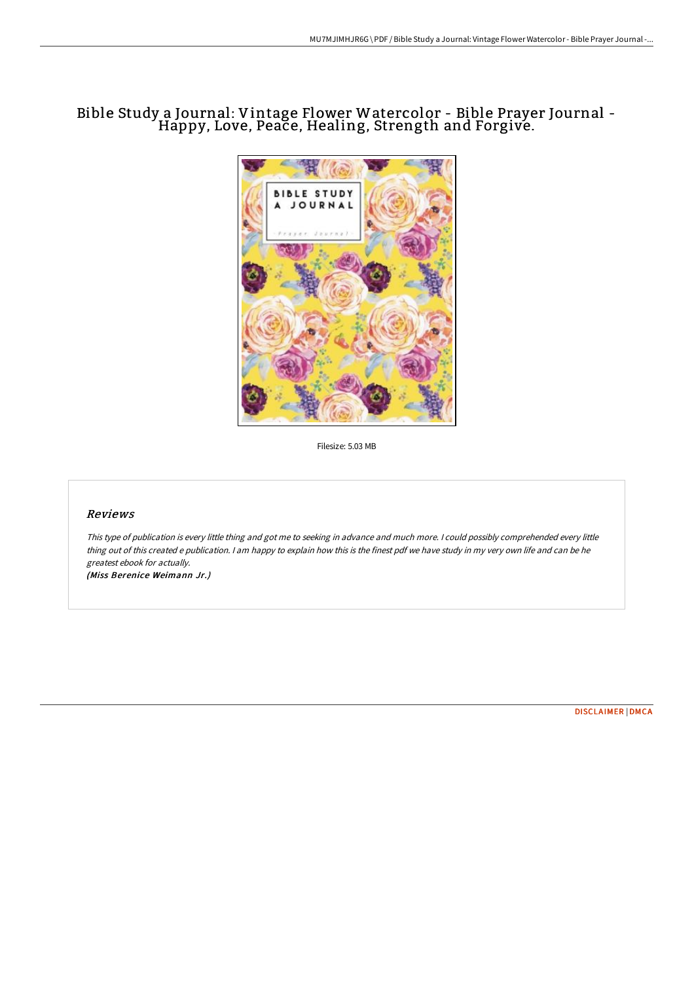## Bible Study <sup>a</sup> Journal: Vintage Flower Watercolor - Bible Prayer Journal - Happy, Love, Peace, Healing, Strength and Forgive.



Filesize: 5.03 MB

## Reviews

This type of publication is every little thing and got me to seeking in advance and much more. <sup>I</sup> could possibly comprehended every little thing out of this created <sup>e</sup> publication. <sup>I</sup> am happy to explain how this is the finest pdf we have study in my very own life and can be he greatest ebook for actually.

(Miss Berenice Weimann Jr.)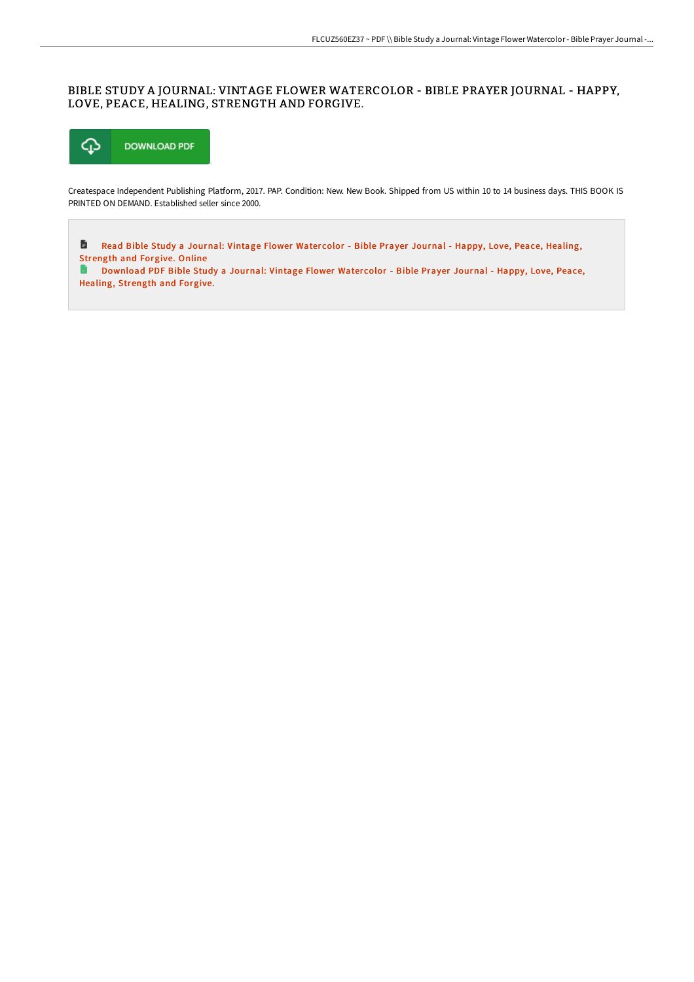## BIBLE STUDY A JOURNAL: VINTAGE FLOWER WATERCOLOR - BIBLE PRAYER JOURNAL - HAPPY, LOVE, PEACE, HEALING, STRENGTH AND FORGIVE.



Createspace Independent Publishing Platform, 2017. PAP. Condition: New. New Book. Shipped from US within 10 to 14 business days. THIS BOOK IS PRINTED ON DEMAND. Established seller since 2000.

D Read Bible Study a Journal: Vintage Flower Watercolor - Bible Prayer Journal - Happy, Love, Peace, Healing, [Strength](http://bookera.tech/bible-study-a-journal-vintage-flower-watercolor-.html) and Forgive. Online

**D** [Download](http://bookera.tech/bible-study-a-journal-vintage-flower-watercolor-.html) PDF Bible Study a Journal: Vintage Flower Watercolor - Bible Prayer Journal - Happy, Love, Peace, Healing, Strength and Forgive.